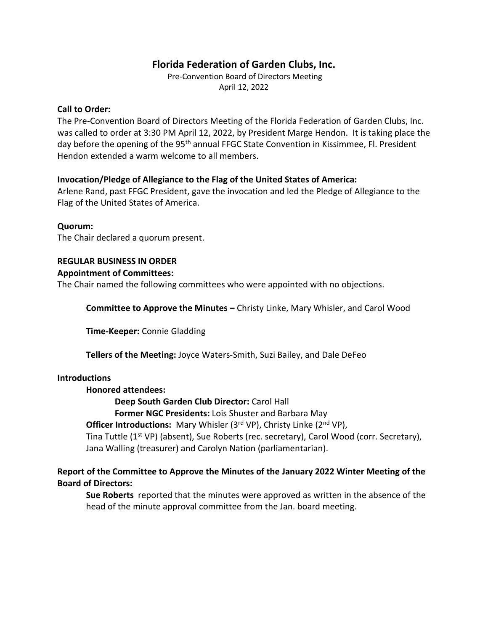# **Florida Federation of Garden Clubs, Inc.**

Pre-Convention Board of Directors Meeting April 12, 2022

# **Call to Order:**

The Pre-Convention Board of Directors Meeting of the Florida Federation of Garden Clubs, Inc. was called to order at 3:30 PM April 12, 2022, by President Marge Hendon. It is taking place the day before the opening of the 95<sup>th</sup> annual FFGC State Convention in Kissimmee, Fl. President Hendon extended a warm welcome to all members.

# **Invocation/Pledge of Allegiance to the Flag of the United States of America:**

Arlene Rand, past FFGC President, gave the invocation and led the Pledge of Allegiance to the Flag of the United States of America.

## **Quorum:**

The Chair declared a quorum present.

# **REGULAR BUSINESS IN ORDER**

# **Appointment of Committees:**

The Chair named the following committees who were appointed with no objections.

**Committee to Approve the Minutes –** Christy Linke, Mary Whisler, and Carol Wood

**Time-Keeper:** Connie Gladding

**Tellers of the Meeting:** Joyce Waters-Smith, Suzi Bailey, and Dale DeFeo

## **Introductions**

## **Honored attendees:**

**Deep South Garden Club Director:** Carol Hall

**Former NGC Presidents:** Lois Shuster and Barbara May

**Officer Introductions:** Mary Whisler (3<sup>rd</sup> VP), Christy Linke (2<sup>nd</sup> VP),

Tina Tuttle (1<sup>st</sup> VP) (absent), Sue Roberts (rec. secretary), Carol Wood (corr. Secretary), Jana Walling (treasurer) and Carolyn Nation (parliamentarian).

# **Report of the Committee to Approve the Minutes of the January 2022 Winter Meeting of the Board of Directors:**

**Sue Roberts** reported that the minutes were approved as written in the absence of the head of the minute approval committee from the Jan. board meeting.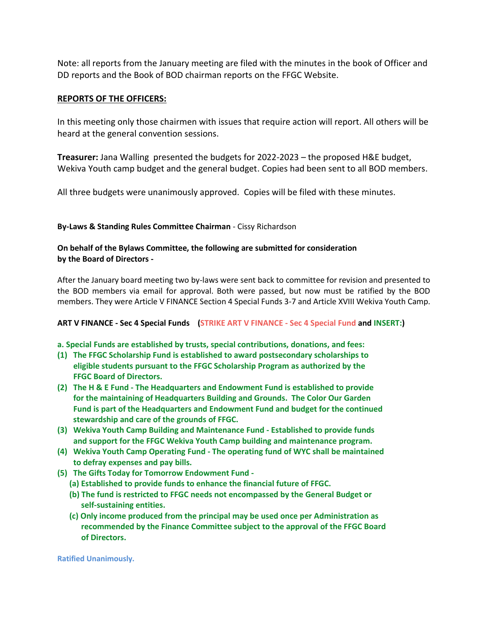Note: all reports from the January meeting are filed with the minutes in the book of Officer and DD reports and the Book of BOD chairman reports on the FFGC Website.

## **REPORTS OF THE OFFICERS:**

In this meeting only those chairmen with issues that require action will report. All others will be heard at the general convention sessions.

**Treasurer:** Jana Walling presented the budgets for 2022-2023 – the proposed H&E budget, Wekiva Youth camp budget and the general budget. Copies had been sent to all BOD members.

All three budgets were unanimously approved. Copies will be filed with these minutes.

### **By-Laws & Standing Rules Committee Chairman** - Cissy Richardson

### **On behalf of the Bylaws Committee, the following are submitted for consideration by the Board of Directors -**

After the January board meeting two by-laws were sent back to committee for revision and presented to the BOD members via email for approval. Both were passed, but now must be ratified by the BOD members. They were Article V FINANCE Section 4 Special Funds 3-7 and Article XVIII Wekiva Youth Camp.

### **ART V FINANCE - Sec 4 Special Funds (STRIKE ART V FINANCE - Sec 4 Special Fund and INSERT:)**

**a. Special Funds are established by trusts, special contributions, donations, and fees:**

- **(1) The FFGC Scholarship Fund is established to award postsecondary scholarships to eligible students pursuant to the FFGC Scholarship Program as authorized by the FFGC Board of Directors.**
- **(2) The H & E Fund - The Headquarters and Endowment Fund is established to provide for the maintaining of Headquarters Building and Grounds. The Color Our Garden Fund is part of the Headquarters and Endowment Fund and budget for the continued stewardship and care of the grounds of FFGC.**
- **(3) Wekiva Youth Camp Building and Maintenance Fund - Established to provide funds and support for the FFGC Wekiva Youth Camp building and maintenance program.**
- **(4) Wekiva Youth Camp Operating Fund - The operating fund of WYC shall be maintained to defray expenses and pay bills.**
- **(5) The Gifts Today for Tomorrow Endowment Fund -**
	- **(a) Established to provide funds to enhance the financial future of FFGC.**
	- **(b) The fund is restricted to FFGC needs not encompassed by the General Budget or self-sustaining entities.**
	- **(c) Only income produced from the principal may be used once per Administration as recommended by the Finance Committee subject to the approval of the FFGC Board of Directors.**

**Ratified Unanimously.**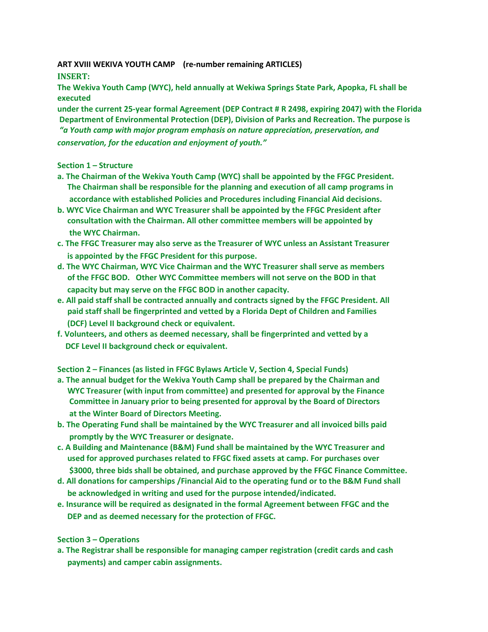**ART XVIII WEKIVA YOUTH CAMP (re-number remaining ARTICLES)**

## **INSERT:**

**The Wekiva Youth Camp (WYC), held annually at Wekiwa Springs State Park, Apopka, FL shall be executed** 

**under the current 25-year formal Agreement (DEP Contract # R 2498, expiring 2047) with the Florida Department of Environmental Protection (DEP), Division of Parks and Recreation. The purpose is** *"a Youth camp with major program emphasis on nature appreciation, preservation, and conservation, for the education and enjoyment of youth."*

### **Section 1 – Structure**

- **a. The Chairman of the Wekiva Youth Camp (WYC) shall be appointed by the FFGC President. The Chairman shall be responsible for the planning and execution of all camp programs in accordance with established Policies and Procedures including Financial Aid decisions.**
- **b. WYC Vice Chairman and WYC Treasurer shall be appointed by the FFGC President after consultation with the Chairman. All other committee members will be appointed by the WYC Chairman.**
- **c. The FFGC Treasurer may also serve as the Treasurer of WYC unless an Assistant Treasurer is appointed by the FFGC President for this purpose.**
- **d. The WYC Chairman, WYC Vice Chairman and the WYC Treasurer shall serve as members of the FFGC BOD. Other WYC Committee members will not serve on the BOD in that capacity but may serve on the FFGC BOD in another capacity.**
- **e. All paid staff shall be contracted annually and contracts signed by the FFGC President. All paid staff shall be fingerprinted and vetted by a Florida Dept of Children and Families (DCF) Level II background check or equivalent.**
- **f. Volunteers, and others as deemed necessary, shall be fingerprinted and vetted by a DCF Level II background check or equivalent.**

**Section 2 – Finances (as listed in FFGC Bylaws Article V, Section 4, Special Funds)**

- **a. The annual budget for the Wekiva Youth Camp shall be prepared by the Chairman and WYC Treasurer (with input from committee) and presented for approval by the Finance Committee in January prior to being presented for approval by the Board of Directors at the Winter Board of Directors Meeting.**
- **b. The Operating Fund shall be maintained by the WYC Treasurer and all invoiced bills paid promptly by the WYC Treasurer or designate.**
- **c. A Building and Maintenance (B&M) Fund shall be maintained by the WYC Treasurer and used for approved purchases related to FFGC fixed assets at camp. For purchases over \$3000, three bids shall be obtained, and purchase approved by the FFGC Finance Committee.**
- **d. All donations for camperships /Financial Aid to the operating fund or to the B&M Fund shall be acknowledged in writing and used for the purpose intended/indicated.**
- **e. Insurance will be required as designated in the formal Agreement between FFGC and the DEP and as deemed necessary for the protection of FFGC.**

## **Section 3 – Operations**

**a. The Registrar shall be responsible for managing camper registration (credit cards and cash payments) and camper cabin assignments.**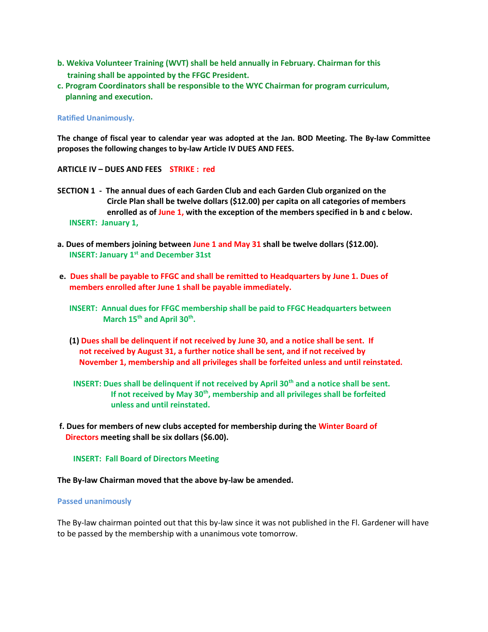- **b. Wekiva Volunteer Training (WVT) shall be held annually in February. Chairman for this training shall be appointed by the FFGC President.**
- **c. Program Coordinators shall be responsible to the WYC Chairman for program curriculum, planning and execution.**

### **Ratified Unanimously.**

The change of fiscal year to calendar year was adopted at the Jan. BOD Meeting. The By-law Committee **proposes the following changes to by-law Article IV DUES AND FEES.**

### **ARTICLE IV – DUES AND FEES STRIKE : red**

- **SECTION 1 The annual dues of each Garden Club and each Garden Club organized on the Circle Plan shall be twelve dollars (\$12.00) per capita on all categories of members enrolled as of June 1, with the exception of the members specified in b and c below. INSERT: January 1,**
- **a. Dues of members joining between June 1 and May 31 shall be twelve dollars (\$12.00). INSERT: January 1st and December 31st**
- **e. Dues shall be payable to FFGC and shall be remitted to Headquarters by June 1. Dues of members enrolled after June 1 shall be payable immediately.**
- **INSERT: Annual dues for FFGC membership shall be paid to FFGC Headquarters between March 15th and April 30th .** 
	- **(1) Dues shall be delinquent if not received by June 30, and a notice shall be sent. If not received by August 31, a further notice shall be sent, and if not received by November 1, membership and all privileges shall be forfeited unless and until reinstated.**
	- **INSERT: Dues shall be delinquent if not received by April 30th and a notice shall be sent. If not received by May 30th, membership and all privileges shall be forfeited unless and until reinstated.**
- **f. Dues for members of new clubs accepted for membership during the Winter Board of Directors meeting shall be six dollars (\$6.00).**

#### **INSERT: Fall Board of Directors Meeting**

#### **The By-law Chairman moved that the above by-law be amended.**

#### **Passed unanimously**

The By-law chairman pointed out that this by-law since it was not published in the Fl. Gardener will have to be passed by the membership with a unanimous vote tomorrow.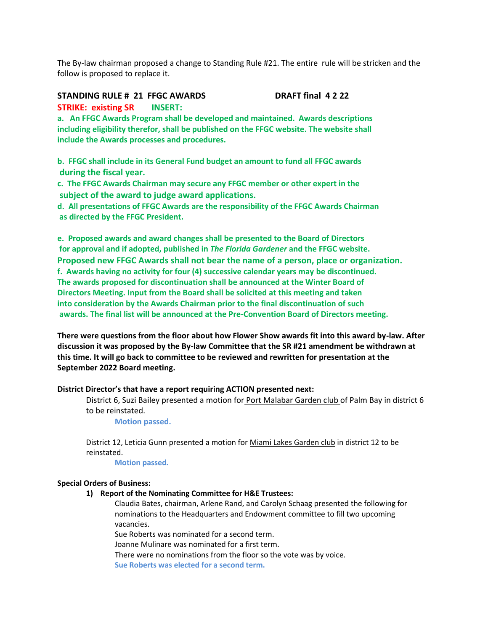The By-law chairman proposed a change to Standing Rule #21. The entire rule will be stricken and the follow is proposed to replace it.

# **STANDING RULE # 21 FFGC AWARDS DRAFT final 4 2 22 STRIKE: existing SR INSERT:**

**a. An FFGC Awards Program shall be developed and maintained. Awards descriptions including eligibility therefor, shall be published on the FFGC website. The website shall include the Awards processes and procedures.**

**b. FFGC shall include in its General Fund budget an amount to fund all FFGC awards during the fiscal year.**

**c. The FFGC Awards Chairman may secure any FFGC member or other expert in the subject of the award to judge award applications.**

**d. All presentations of FFGC Awards are the responsibility of the FFGC Awards Chairman as directed by the FFGC President.**

**e. Proposed awards and award changes shall be presented to the Board of Directors for approval and if adopted, published in** *The Florida Gardener* **and the FFGC website. Proposed new FFGC Awards shall not bear the name of a person, place or organization. f. Awards having no activity for four (4) successive calendar years may be discontinued. The awards proposed for discontinuation shall be announced at the Winter Board of Directors Meeting. Input from the Board shall be solicited at this meeting and taken into consideration by the Awards Chairman prior to the final discontinuation of such awards. The final list will be announced at the Pre-Convention Board of Directors meeting.**

**There were questions from the floor about how Flower Show awards fit into this award by-law. After discussion it was proposed by the By-law Committee that the SR #21 amendment be withdrawn at this time. It will go back to committee to be reviewed and rewritten for presentation at the September 2022 Board meeting.**

### **District Director's that have a report requiring ACTION presented next:**

District 6, Suzi Bailey presented a motion for Port Malabar Garden club of Palm Bay in district 6 to be reinstated.

**Motion passed.**

District 12, Leticia Gunn presented a motion for Miami Lakes Garden club in district 12 to be reinstated.

**Motion passed.**

### **Special Orders of Business:**

**1) Report of the Nominating Committee for H&E Trustees:**

Claudia Bates, chairman, Arlene Rand, and Carolyn Schaag presented the following for nominations to the Headquarters and Endowment committee to fill two upcoming vacancies.

Sue Roberts was nominated for a second term.

Joanne Mulinare was nominated for a first term.

There were no nominations from the floor so the vote was by voice. **Sue Roberts was elected for a second term.**